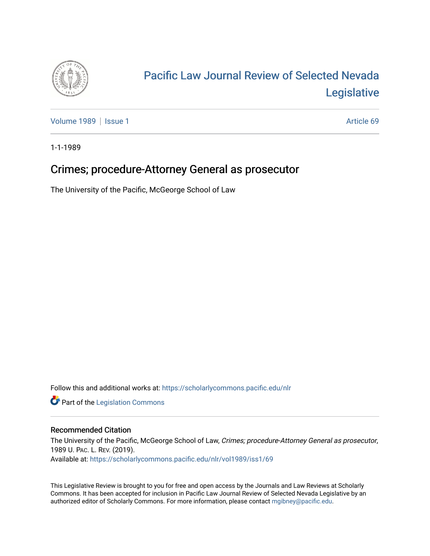

## [Pacific Law Journal Review of Selected Nevada](https://scholarlycommons.pacific.edu/nlr)  [Legislative](https://scholarlycommons.pacific.edu/nlr)

[Volume 1989](https://scholarlycommons.pacific.edu/nlr/vol1989) | [Issue 1](https://scholarlycommons.pacific.edu/nlr/vol1989/iss1) Article 69

1-1-1989

## Crimes; procedure-Attorney General as prosecutor

The University of the Pacific, McGeorge School of Law

Follow this and additional works at: [https://scholarlycommons.pacific.edu/nlr](https://scholarlycommons.pacific.edu/nlr?utm_source=scholarlycommons.pacific.edu%2Fnlr%2Fvol1989%2Fiss1%2F69&utm_medium=PDF&utm_campaign=PDFCoverPages) 

**Part of the [Legislation Commons](http://network.bepress.com/hgg/discipline/859?utm_source=scholarlycommons.pacific.edu%2Fnlr%2Fvol1989%2Fiss1%2F69&utm_medium=PDF&utm_campaign=PDFCoverPages)** 

## Recommended Citation

The University of the Pacific, McGeorge School of Law, Crimes; procedure-Attorney General as prosecutor, 1989 U. PAC. L. REV. (2019). Available at: [https://scholarlycommons.pacific.edu/nlr/vol1989/iss1/69](https://scholarlycommons.pacific.edu/nlr/vol1989/iss1/69?utm_source=scholarlycommons.pacific.edu%2Fnlr%2Fvol1989%2Fiss1%2F69&utm_medium=PDF&utm_campaign=PDFCoverPages)

This Legislative Review is brought to you for free and open access by the Journals and Law Reviews at Scholarly Commons. It has been accepted for inclusion in Pacific Law Journal Review of Selected Nevada Legislative by an authorized editor of Scholarly Commons. For more information, please contact [mgibney@pacific.edu](mailto:mgibney@pacific.edu).